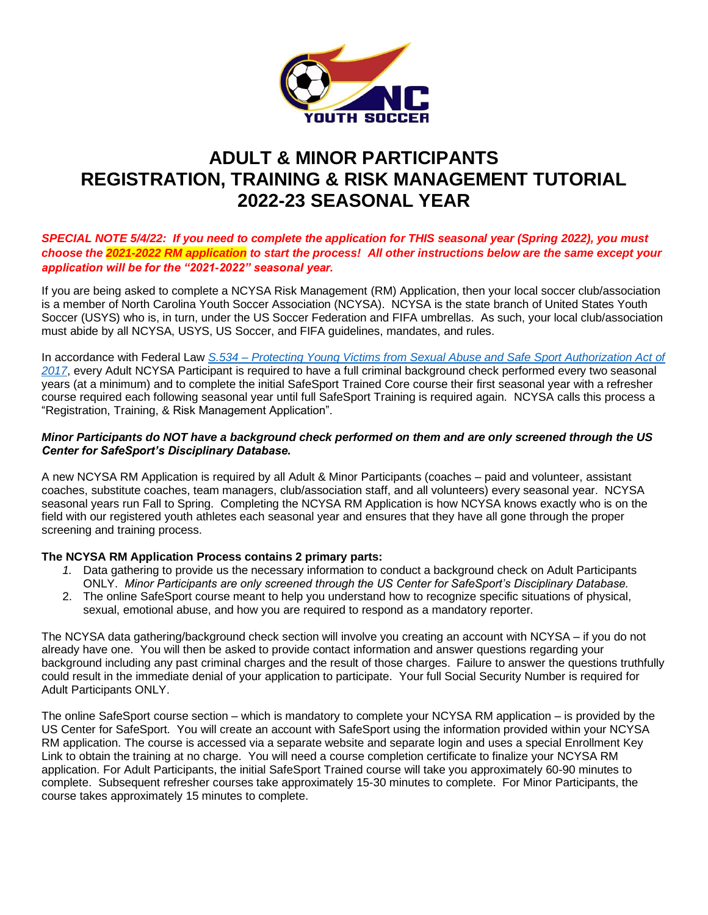

# **ADULT & MINOR PARTICIPANTS REGISTRATION, TRAINING & RISK MANAGEMENT TUTORIAL 2022-23 SEASONAL YEAR**

# *SPECIAL NOTE 5/4/22: If you need to complete the application for THIS seasonal year (Spring 2022), you must choose the 2021-2022 RM application to start the process! All other instructions below are the same except your application will be for the "2021-2022" seasonal year.*

If you are being asked to complete a NCYSA Risk Management (RM) Application, then your local soccer club/association is a member of North Carolina Youth Soccer Association (NCYSA). NCYSA is the state branch of United States Youth Soccer (USYS) who is, in turn, under the US Soccer Federation and FIFA umbrellas. As such, your local club/association must abide by all NCYSA, USYS, US Soccer, and FIFA guidelines, mandates, and rules.

In accordance with Federal Law *S.534 – [Protecting Young Victims from Sexual Abuse and Safe Sport Authorization Act of](https://uscenterforsafesport.org/wp-content/uploads/2019/05/Legislative-Fact-Sheet.pdf)  [2017](https://uscenterforsafesport.org/wp-content/uploads/2019/05/Legislative-Fact-Sheet.pdf)*, every Adult NCYSA Participant is required to have a full criminal background check performed every two seasonal years (at a minimum) and to complete the initial SafeSport Trained Core course their first seasonal year with a refresher course required each following seasonal year until full SafeSport Training is required again. NCYSA calls this process a "Registration, Training, & Risk Management Application".

# *Minor Participants do NOT have a background check performed on them and are only screened through the US Center for SafeSport's Disciplinary Database.*

A new NCYSA RM Application is required by all Adult & Minor Participants (coaches – paid and volunteer, assistant coaches, substitute coaches, team managers, club/association staff, and all volunteers) every seasonal year. NCYSA seasonal years run Fall to Spring. Completing the NCYSA RM Application is how NCYSA knows exactly who is on the field with our registered youth athletes each seasonal year and ensures that they have all gone through the proper screening and training process.

# **The NCYSA RM Application Process contains 2 primary parts:**

- *1.* Data gathering to provide us the necessary information to conduct a background check on Adult Participants ONLY. *Minor Participants are only screened through the US Center for SafeSport's Disciplinary Database.*
- 2. The online SafeSport course meant to help you understand how to recognize specific situations of physical, sexual, emotional abuse, and how you are required to respond as a mandatory reporter.

The NCYSA data gathering/background check section will involve you creating an account with NCYSA – if you do not already have one. You will then be asked to provide contact information and answer questions regarding your background including any past criminal charges and the result of those charges. Failure to answer the questions truthfully could result in the immediate denial of your application to participate. Your full Social Security Number is required for Adult Participants ONLY.

The online SafeSport course section – which is mandatory to complete your NCYSA RM application – is provided by the US Center for SafeSport. You will create an account with SafeSport using the information provided within your NCYSA RM application. The course is accessed via a separate website and separate login and uses a special Enrollment Key Link to obtain the training at no charge. You will need a course completion certificate to finalize your NCYSA RM application. For Adult Participants, the initial SafeSport Trained course will take you approximately 60-90 minutes to complete. Subsequent refresher courses take approximately 15-30 minutes to complete. For Minor Participants, the course takes approximately 15 minutes to complete.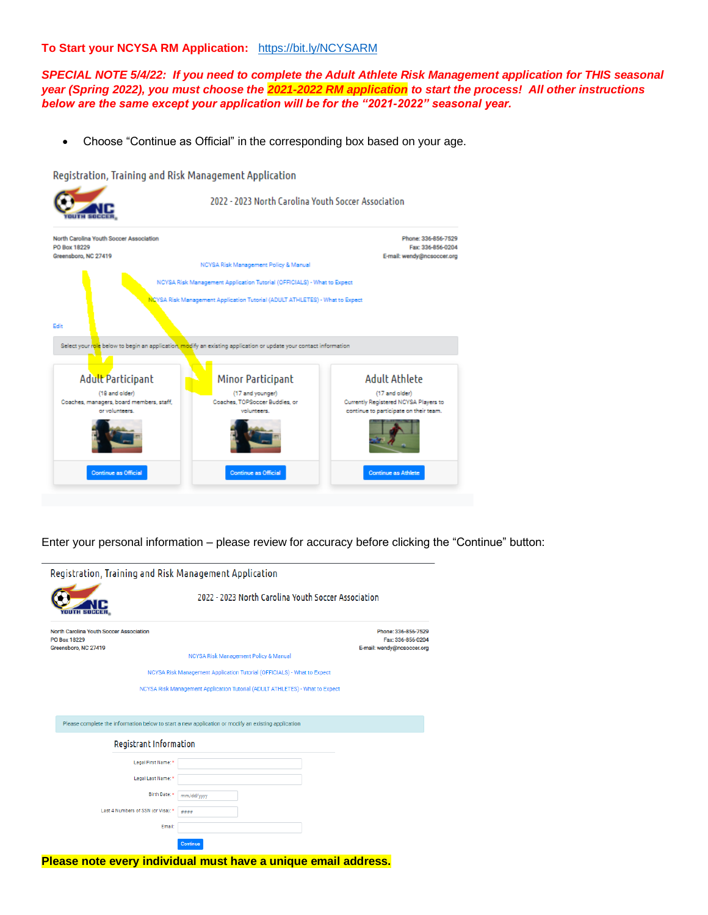#### **To Start your NCYSA RM Application:** <https://bit.ly/NCYSARM>

*SPECIAL NOTE 5/4/22: If you need to complete the Adult Athlete Risk Management application for THIS seasonal year (Spring 2022), you must choose the 2021-2022 RM application to start the process! All other instructions below are the same except your application will be for the "2021-2022" seasonal year.*

• Choose "Continue as Official" in the corresponding box based on your age.

Registration, Training and Risk Management Application



Enter your personal information – please review for accuracy before clicking the "Continue" button:

|                                                                                 |                                                     | Registration, Training and Risk Management Application                                             |  |                                                                        |
|---------------------------------------------------------------------------------|-----------------------------------------------------|----------------------------------------------------------------------------------------------------|--|------------------------------------------------------------------------|
|                                                                                 | 2022 - 2023 North Carolina Youth Soccer Association |                                                                                                    |  |                                                                        |
| North Carolina Youth Soccer Association<br>PO Box 18229<br>Greensboro, NC 27419 |                                                     | NCYSA Risk Management Policy & Manual                                                              |  | Phone: 336-856-7529<br>Fax: 336-856-0204<br>E-mail: wendy@ncsoccer.org |
|                                                                                 |                                                     | NCYSA Risk Management Application Tutorial (OFFICIALS) - What to Expect                            |  |                                                                        |
|                                                                                 |                                                     | NCYSA Risk Management Application Tutorial (ADULT ATHLETES) - What to Expect                       |  |                                                                        |
|                                                                                 |                                                     |                                                                                                    |  |                                                                        |
|                                                                                 |                                                     |                                                                                                    |  |                                                                        |
|                                                                                 |                                                     | Please complete the information below to start a new application or modify an existing application |  |                                                                        |
|                                                                                 | <b>Registrant Information</b>                       |                                                                                                    |  |                                                                        |
|                                                                                 | Legal First Name: *                                 |                                                                                                    |  |                                                                        |
|                                                                                 | Legal Last Name: *                                  |                                                                                                    |  |                                                                        |
|                                                                                 | Birth Date: *                                       | mm/dd/yyyy                                                                                         |  |                                                                        |
|                                                                                 | Last 4 Numbers of SSN (or Visa): *                  | ####                                                                                               |  |                                                                        |
|                                                                                 | Email:                                              |                                                                                                    |  |                                                                        |
|                                                                                 |                                                     | <b>Continue</b>                                                                                    |  |                                                                        |
|                                                                                 |                                                     |                                                                                                    |  |                                                                        |

**Please note every individual must have a unique email address.**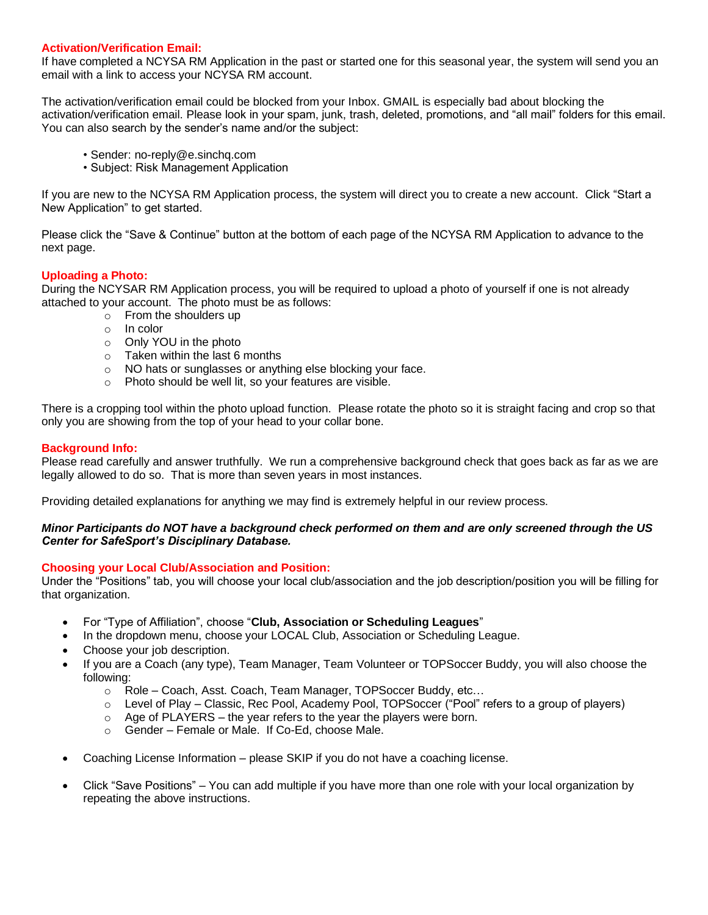## **Activation/Verification Email:**

If have completed a NCYSA RM Application in the past or started one for this seasonal year, the system will send you an email with a link to access your NCYSA RM account.

The activation/verification email could be blocked from your Inbox. GMAIL is especially bad about blocking the activation/verification email. Please look in your spam, junk, trash, deleted, promotions, and "all mail" folders for this email. You can also search by the sender's name and/or the subject:

- Sender: no-reply@e.sinchq.com
- Subject: Risk Management Application

If you are new to the NCYSA RM Application process, the system will direct you to create a new account. Click "Start a New Application" to get started.

Please click the "Save & Continue" button at the bottom of each page of the NCYSA RM Application to advance to the next page.

# **Uploading a Photo:**

During the NCYSAR RM Application process, you will be required to upload a photo of yourself if one is not already attached to your account. The photo must be as follows:

- o From the shoulders up
- o In color
- o Only YOU in the photo
- o Taken within the last 6 months
- o NO hats or sunglasses or anything else blocking your face.
- o Photo should be well lit, so your features are visible.

There is a cropping tool within the photo upload function. Please rotate the photo so it is straight facing and crop so that only you are showing from the top of your head to your collar bone.

## **Background Info:**

Please read carefully and answer truthfully. We run a comprehensive background check that goes back as far as we are legally allowed to do so. That is more than seven years in most instances.

Providing detailed explanations for anything we may find is extremely helpful in our review process.

#### *Minor Participants do NOT have a background check performed on them and are only screened through the US Center for SafeSport's Disciplinary Database.*

#### **Choosing your Local Club/Association and Position:**

Under the "Positions" tab, you will choose your local club/association and the job description/position you will be filling for that organization.

- For "Type of Affiliation", choose "**Club, Association or Scheduling Leagues**"
- In the dropdown menu, choose your LOCAL Club, Association or Scheduling League.
- Choose your job description.
- If you are a Coach (any type), Team Manager, Team Volunteer or TOPSoccer Buddy, you will also choose the following:
	- o Role Coach, Asst. Coach, Team Manager, TOPSoccer Buddy, etc…
	- $\circ$  Level of Play Classic, Rec Pool, Academy Pool, TOPSoccer ("Pool" refers to a group of players)
	- $\circ$  Age of PLAYERS the year refers to the year the players were born.
	- o Gender Female or Male. If Co-Ed, choose Male.
- Coaching License Information please SKIP if you do not have a coaching license.
- Click "Save Positions" You can add multiple if you have more than one role with your local organization by repeating the above instructions.